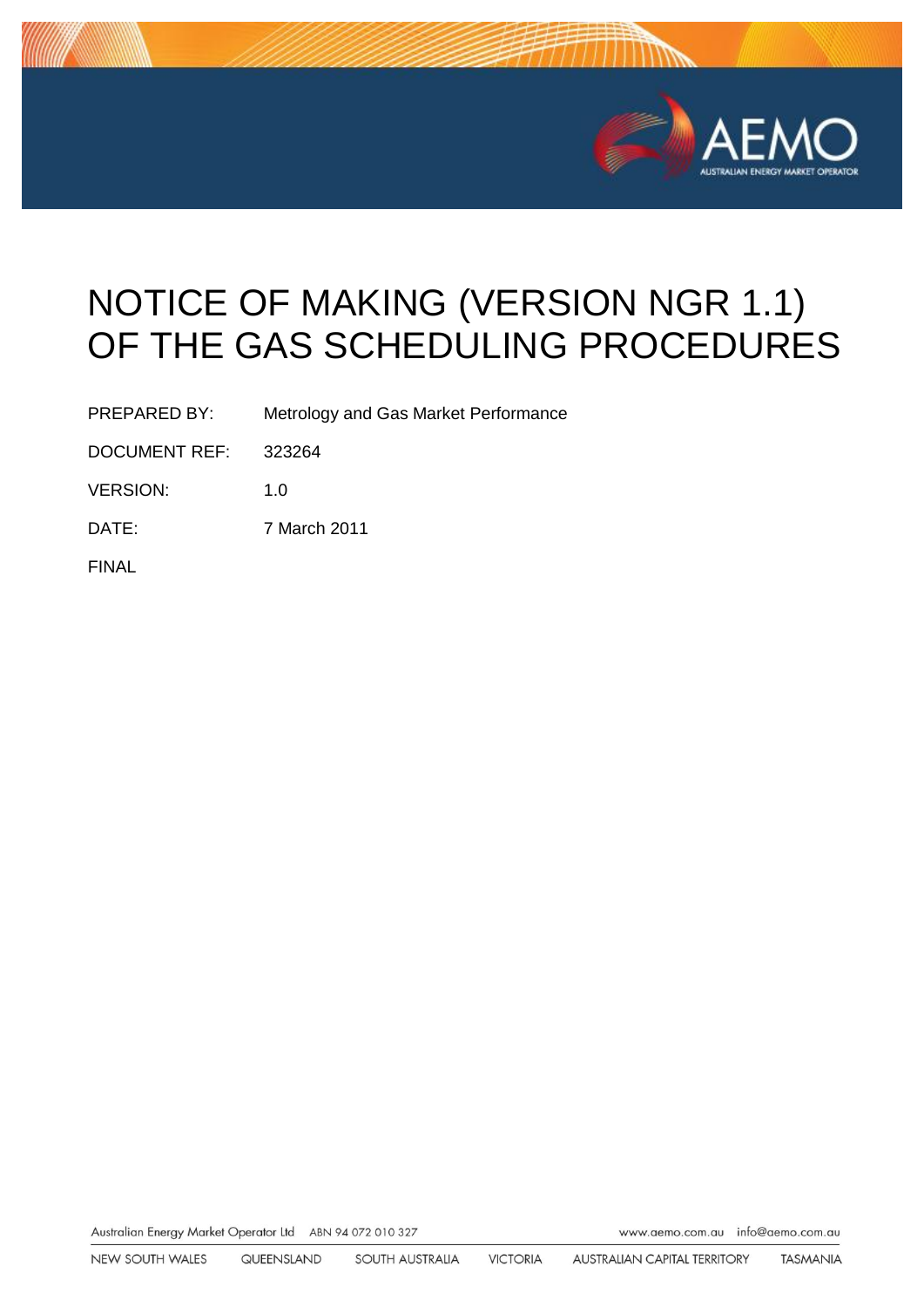

# NOTICE OF MAKING (VERSION NGR 1.1) OF THE GAS SCHEDULING PROCEDURES

PREPARED BY: Metrology and Gas Market Performance

DOCUMENT REF: 323264

VERSION: 1.0

DATE: 7 March 2011

FINAL

Australian Energy Market Operator Ltd ABN 94 072 010 327 www.aemo.com.au inlo@oemo.com.au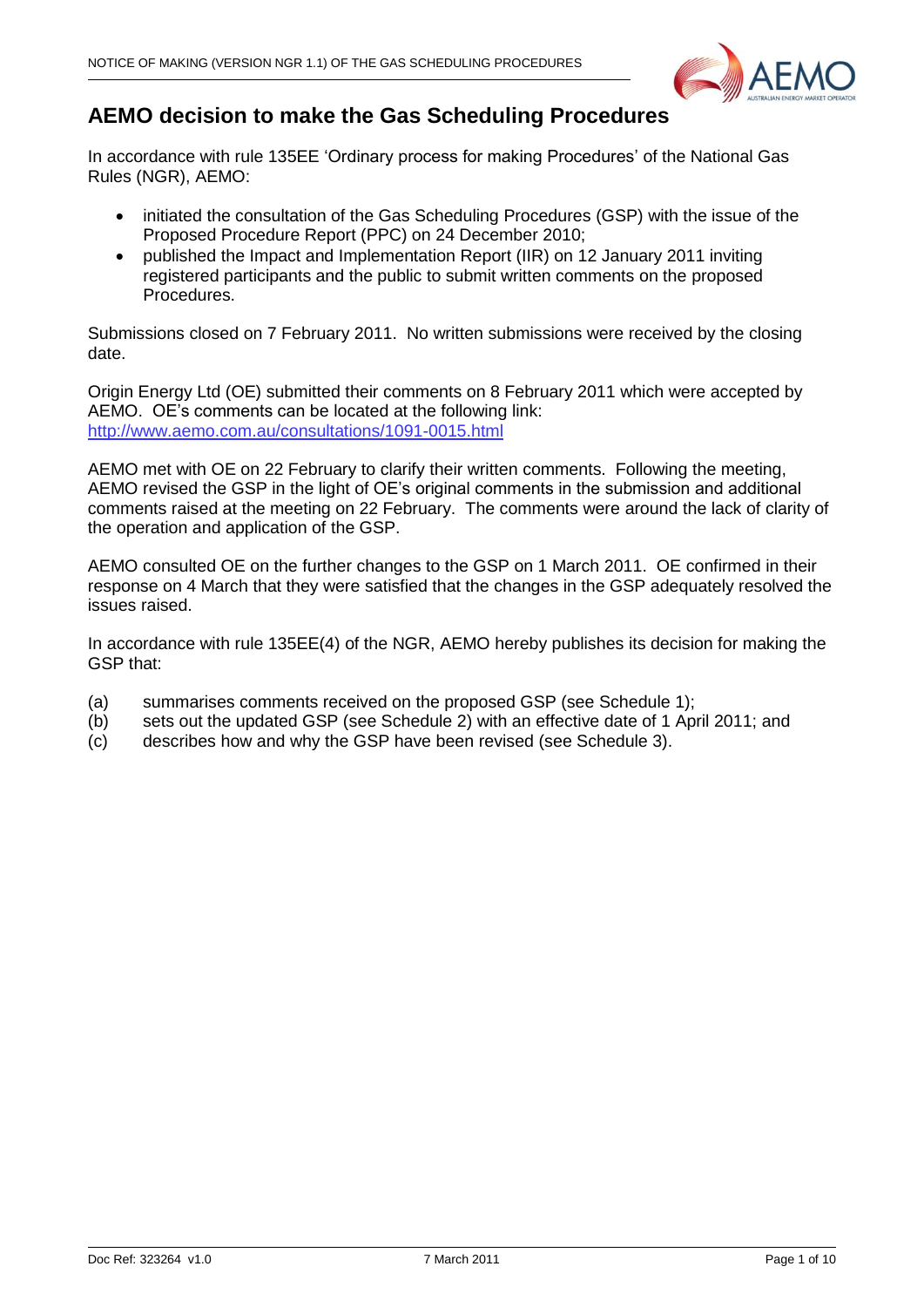

# **AEMO decision to make the Gas Scheduling Procedures**

In accordance with rule 135EE 'Ordinary process for making Procedures' of the National Gas Rules (NGR), AEMO:

- initiated the consultation of the Gas Scheduling Procedures (GSP) with the issue of the Proposed Procedure Report (PPC) on 24 December 2010;
- published the Impact and Implementation Report (IIR) on 12 January 2011 inviting registered participants and the public to submit written comments on the proposed Procedures.

Submissions closed on 7 February 2011. No written submissions were received by the closing date.

Origin Energy Ltd (OE) submitted their comments on 8 February 2011 which were accepted by AEMO. OE"s comments can be located at the following link: <http://www.aemo.com.au/consultations/1091-0015.html>

AEMO met with OE on 22 February to clarify their written comments. Following the meeting, AEMO revised the GSP in the light of OE"s original comments in the submission and additional comments raised at the meeting on 22 February. The comments were around the lack of clarity of the operation and application of the GSP.

AEMO consulted OE on the further changes to the GSP on 1 March 2011. OE confirmed in their response on 4 March that they were satisfied that the changes in the GSP adequately resolved the issues raised.

In accordance with rule 135EE(4) of the NGR, AEMO hereby publishes its decision for making the GSP that:

- (a) summarises comments received on the proposed GSP (see Schedule 1);
- (b) sets out the updated GSP (see Schedule 2) with an effective date of 1 April 2011; and
- (c) describes how and why the GSP have been revised (see Schedule 3).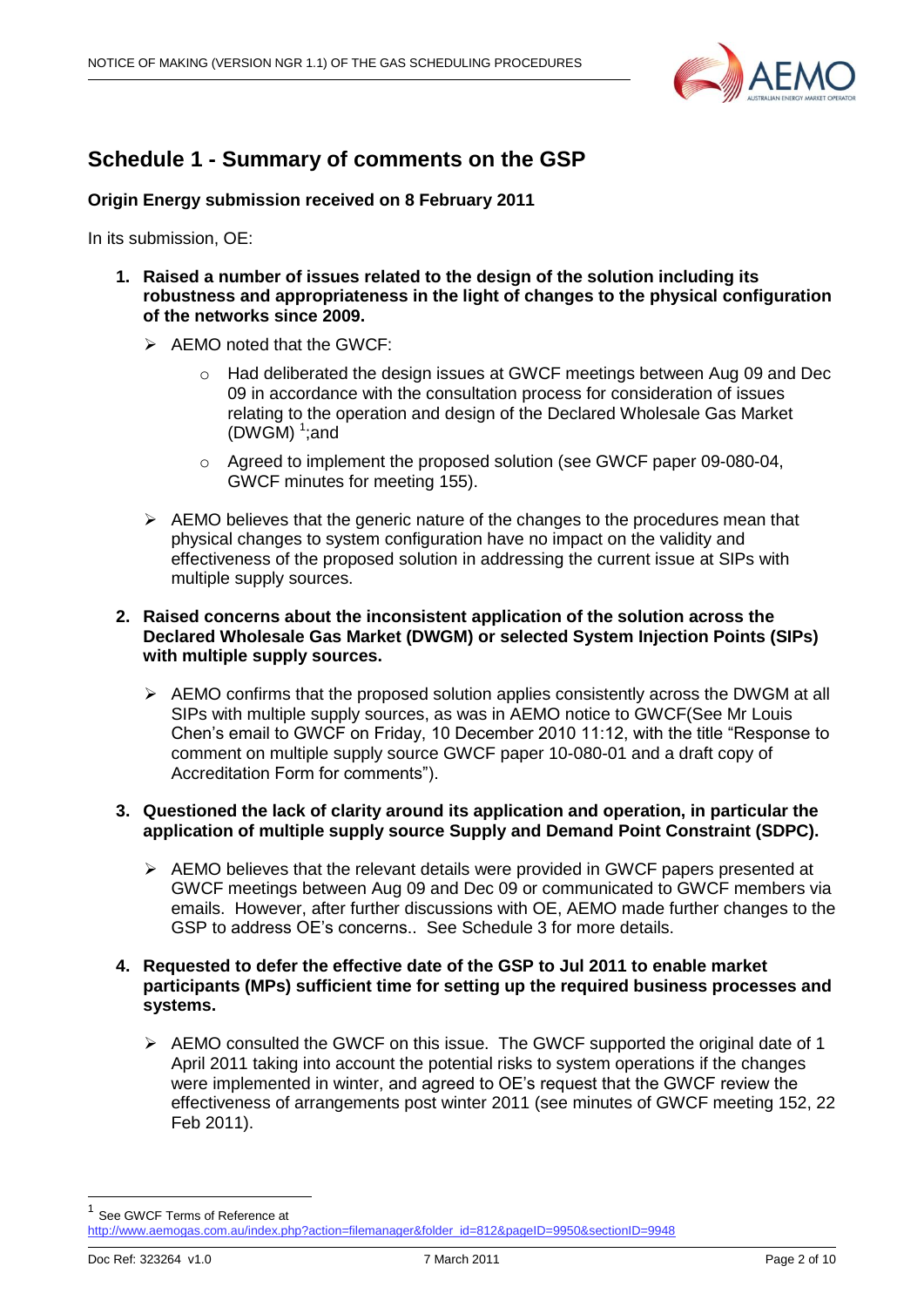

## **Schedule 1 - Summary of comments on the GSP**

**Origin Energy submission received on 8 February 2011**

In its submission, OE:

- **1. Raised a number of issues related to the design of the solution including its robustness and appropriateness in the light of changes to the physical configuration of the networks since 2009.**
	- $\triangleright$  AEMO noted that the GWCF:
		- $\circ$  Had deliberated the design issues at GWCF meetings between Aug 09 and Dec 09 in accordance with the consultation process for consideration of issues relating to the operation and design of the Declared Wholesale Gas Market (DWGM) $<sup>1</sup>$ ; and</sup>
		- $\circ$  Agreed to implement the proposed solution (see GWCF paper 09-080-04, GWCF minutes for meeting 155).
	- $\triangleright$  AEMO believes that the generic nature of the changes to the procedures mean that physical changes to system configuration have no impact on the validity and effectiveness of the proposed solution in addressing the current issue at SIPs with multiple supply sources.

#### **2. Raised concerns about the inconsistent application of the solution across the Declared Wholesale Gas Market (DWGM) or selected System Injection Points (SIPs) with multiple supply sources.**

 $\triangleright$  AEMO confirms that the proposed solution applies consistently across the DWGM at all SIPs with multiple supply sources, as was in AEMO notice to GWCF(See Mr Louis Chen"s email to GWCF on Friday, 10 December 2010 11:12, with the title "Response to comment on multiple supply source GWCF paper 10-080-01 and a draft copy of Accreditation Form for comments").

#### **3. Questioned the lack of clarity around its application and operation, in particular the application of multiple supply source Supply and Demand Point Constraint (SDPC).**

 $\triangleright$  AEMO believes that the relevant details were provided in GWCF papers presented at GWCF meetings between Aug 09 and Dec 09 or communicated to GWCF members via emails. However, after further discussions with OE, AEMO made further changes to the GSP to address OE"s concerns.. See Schedule 3 for more details.

#### **4. Requested to defer the effective date of the GSP to Jul 2011 to enable market participants (MPs) sufficient time for setting up the required business processes and systems.**

 $\triangleright$  AEMO consulted the GWCF on this issue. The GWCF supported the original date of 1 April 2011 taking into account the potential risks to system operations if the changes were implemented in winter, and agreed to OE"s request that the GWCF review the effectiveness of arrangements post winter 2011 (see minutes of GWCF meeting 152, 22 Feb 2011).

1 See GWCF Terms of Reference at [http://www.aemogas.com.au/index.php?action=filemanager&folder\\_id=812&pageID=9950&sectionID=9948](http://www.aemogas.com.au/index.php?action=filemanager&folder_id=812&pageID=9950§ionID=9948)

-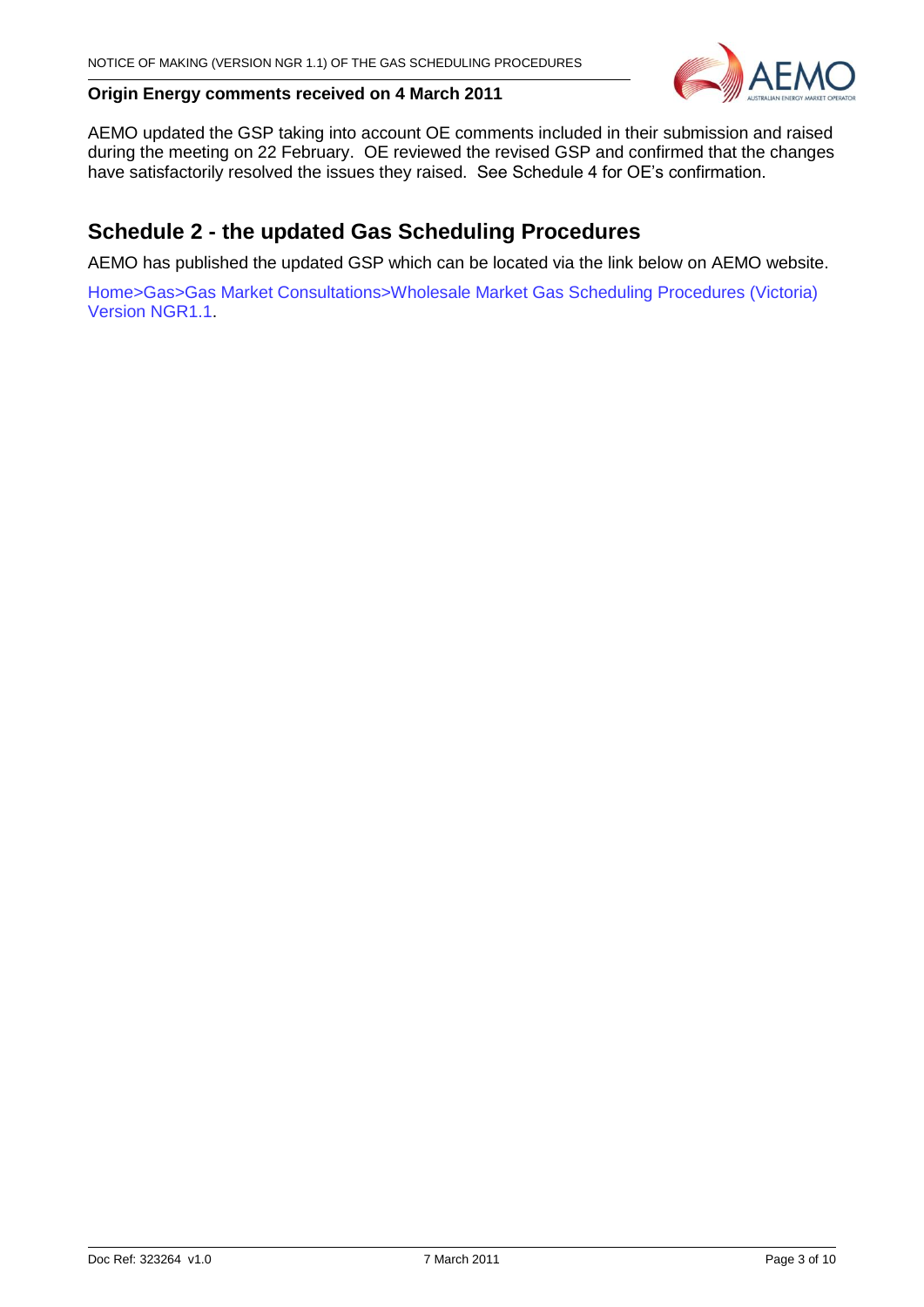

#### **Origin Energy comments received on 4 March 2011**

AEMO updated the GSP taking into account OE comments included in their submission and raised during the meeting on 22 February. OE reviewed the revised GSP and confirmed that the changes have satisfactorily resolved the issues they raised. See Schedule 4 for OE"s confirmation.

## **Schedule 2 - the updated Gas Scheduling Procedures**

AEMO has published the updated GSP which can be located via the link below on AEMO website.

Home>Gas>Gas Market Consultations>Wholesale Market Gas Scheduling Procedures (Victoria) Version NGR1.1.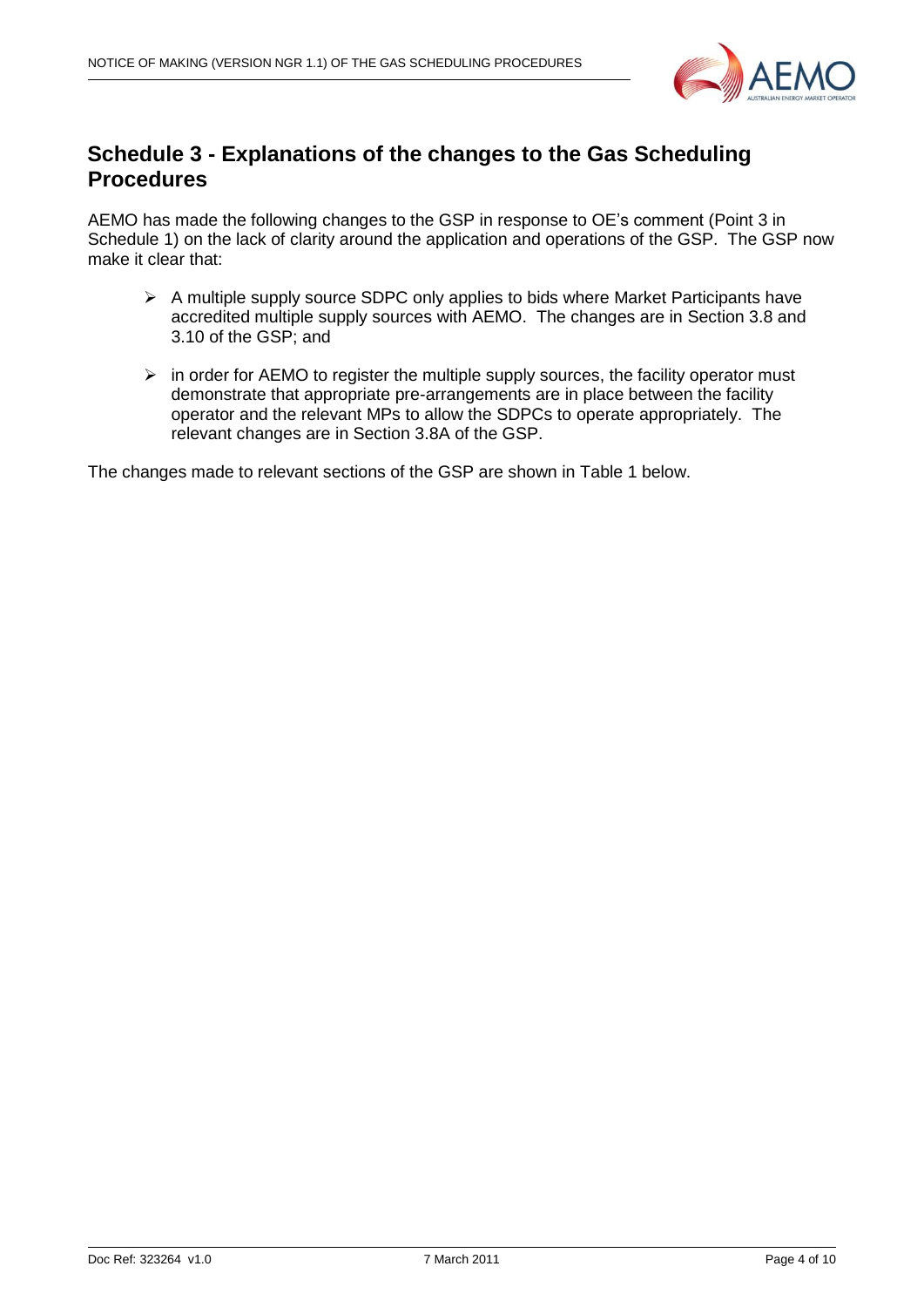

## **Schedule 3 - Explanations of the changes to the Gas Scheduling Procedures**

AEMO has made the following changes to the GSP in response to OE"s comment (Point 3 in Schedule 1) on the lack of clarity around the application and operations of the GSP. The GSP now make it clear that:

- $\triangleright$  A multiple supply source SDPC only applies to bids where Market Participants have accredited multiple supply sources with AEMO. The changes are in Section 3.8 and 3.10 of the GSP; and
- $\triangleright$  in order for AEMO to register the multiple supply sources, the facility operator must demonstrate that appropriate pre-arrangements are in place between the facility operator and the relevant MPs to allow the SDPCs to operate appropriately. The relevant changes are in Section 3.8A of the GSP.

The changes made to relevant sections of the GSP are shown in Table 1 below.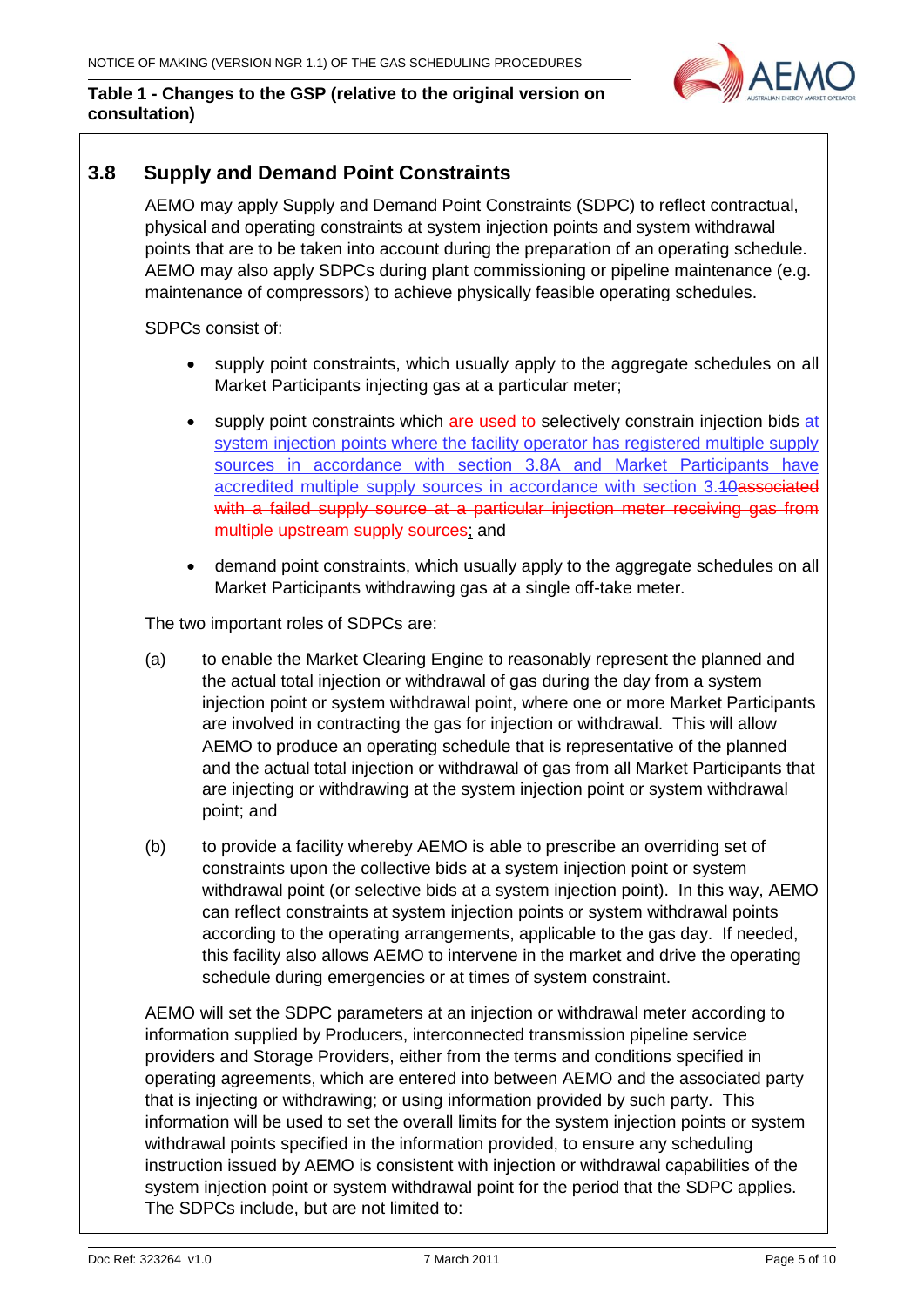

#### **Table 1 - Changes to the GSP (relative to the original version on consultation)**

## **3.8 Supply and Demand Point Constraints**

AEMO may apply Supply and Demand Point Constraints (SDPC) to reflect contractual, physical and operating constraints at system injection points and system withdrawal points that are to be taken into account during the preparation of an operating schedule. AEMO may also apply SDPCs during plant commissioning or pipeline maintenance (e.g. maintenance of compressors) to achieve physically feasible operating schedules.

SDPCs consist of:

- supply point constraints, which usually apply to the aggregate schedules on all Market Participants injecting gas at a particular meter;
- supply point constraints which are used to selectively constrain injection bids at system injection points where the facility operator has registered multiple supply sources in accordance with section 3.8A and Market Participants have accredited multiple supply sources in accordance with section 3.40associated with a failed supply source at a particular injection meter receiving gas from multiple upstream supply sources; and
- demand point constraints, which usually apply to the aggregate schedules on all Market Participants withdrawing gas at a single off-take meter.

The two important roles of SDPCs are:

- (a) to enable the Market Clearing Engine to reasonably represent the planned and the actual total injection or withdrawal of gas during the day from a system injection point or system withdrawal point, where one or more Market Participants are involved in contracting the gas for injection or withdrawal. This will allow AEMO to produce an operating schedule that is representative of the planned and the actual total injection or withdrawal of gas from all Market Participants that are injecting or withdrawing at the system injection point or system withdrawal point; and
- (b) to provide a facility whereby AEMO is able to prescribe an overriding set of constraints upon the collective bids at a system injection point or system withdrawal point (or selective bids at a system injection point). In this way, AEMO can reflect constraints at system injection points or system withdrawal points according to the operating arrangements, applicable to the gas day. If needed, this facility also allows AEMO to intervene in the market and drive the operating schedule during emergencies or at times of system constraint.

AEMO will set the SDPC parameters at an injection or withdrawal meter according to information supplied by Producers, interconnected transmission pipeline service providers and Storage Providers, either from the terms and conditions specified in operating agreements, which are entered into between AEMO and the associated party that is injecting or withdrawing; or using information provided by such party. This information will be used to set the overall limits for the system injection points or system withdrawal points specified in the information provided, to ensure any scheduling instruction issued by AEMO is consistent with injection or withdrawal capabilities of the system injection point or system withdrawal point for the period that the SDPC applies. The SDPCs include, but are not limited to: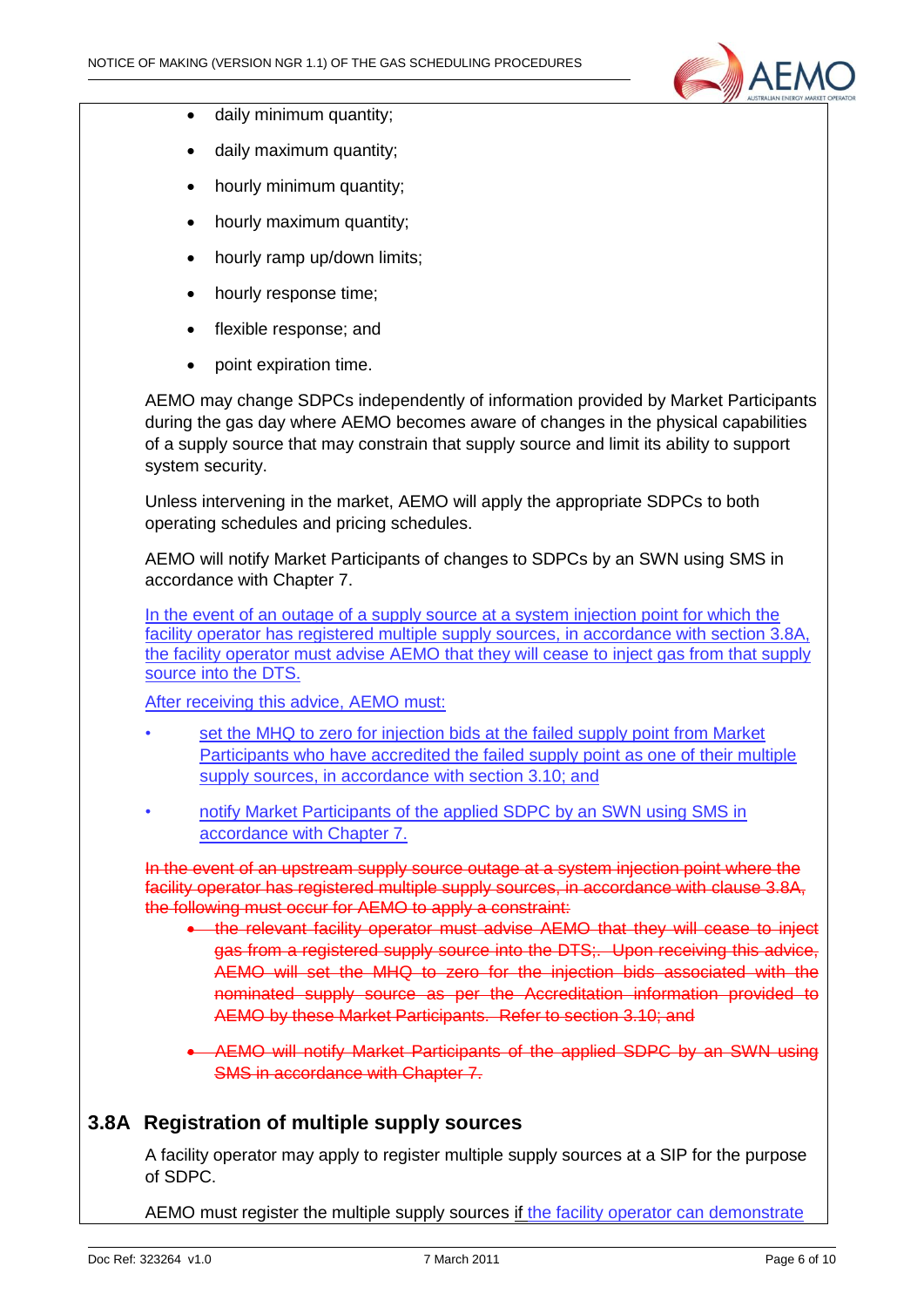

- daily minimum quantity;
- daily maximum quantity;
- hourly minimum quantity;
- hourly maximum quantity;
- hourly ramp up/down limits:
- hourly response time;
- flexible response; and
- point expiration time.

AEMO may change SDPCs independently of information provided by Market Participants during the gas day where AEMO becomes aware of changes in the physical capabilities of a supply source that may constrain that supply source and limit its ability to support system security.

Unless intervening in the market, AEMO will apply the appropriate SDPCs to both operating schedules and pricing schedules.

AEMO will notify Market Participants of changes to SDPCs by an SWN using SMS in accordance with Chapter 7.

In the event of an outage of a supply source at a system injection point for which the facility operator has registered multiple supply sources, in accordance with section 3.8A, the facility operator must advise AEMO that they will cease to inject gas from that supply source into the DTS.

After receiving this advice, AEMO must:

- set the MHQ to zero for injection bids at the failed supply point from Market Participants who have accredited the failed supply point as one of their multiple supply sources, in accordance with section 3.10; and
- notify Market Participants of the applied SDPC by an SWN using SMS in accordance with Chapter 7.

In the event of an upstream supply source outage at a system injection point where the facility operator has registered multiple supply sources, in accordance with clause 3.8A, the following must occur for AEMO to apply a constraint:

- the relevant facility operator must advise AEMO that they will cease to inject gas from a registered supply source into the DTS;. Upon receiving this advice, AEMO will set the MHQ to zero for the injection bids associated with the nominated supply source as per the Accreditation information provided to AEMO by these Market Participants. Refer to section 3.10; and
- AEMO will notify Market Participants of the applied SDPC by an SWN using SMS in accordance with Chapter 7.

## **3.8A Registration of multiple supply sources**

A facility operator may apply to register multiple supply sources at a SIP for the purpose of SDPC.

AEMO must register the multiple supply sources if the facility operator can demonstrate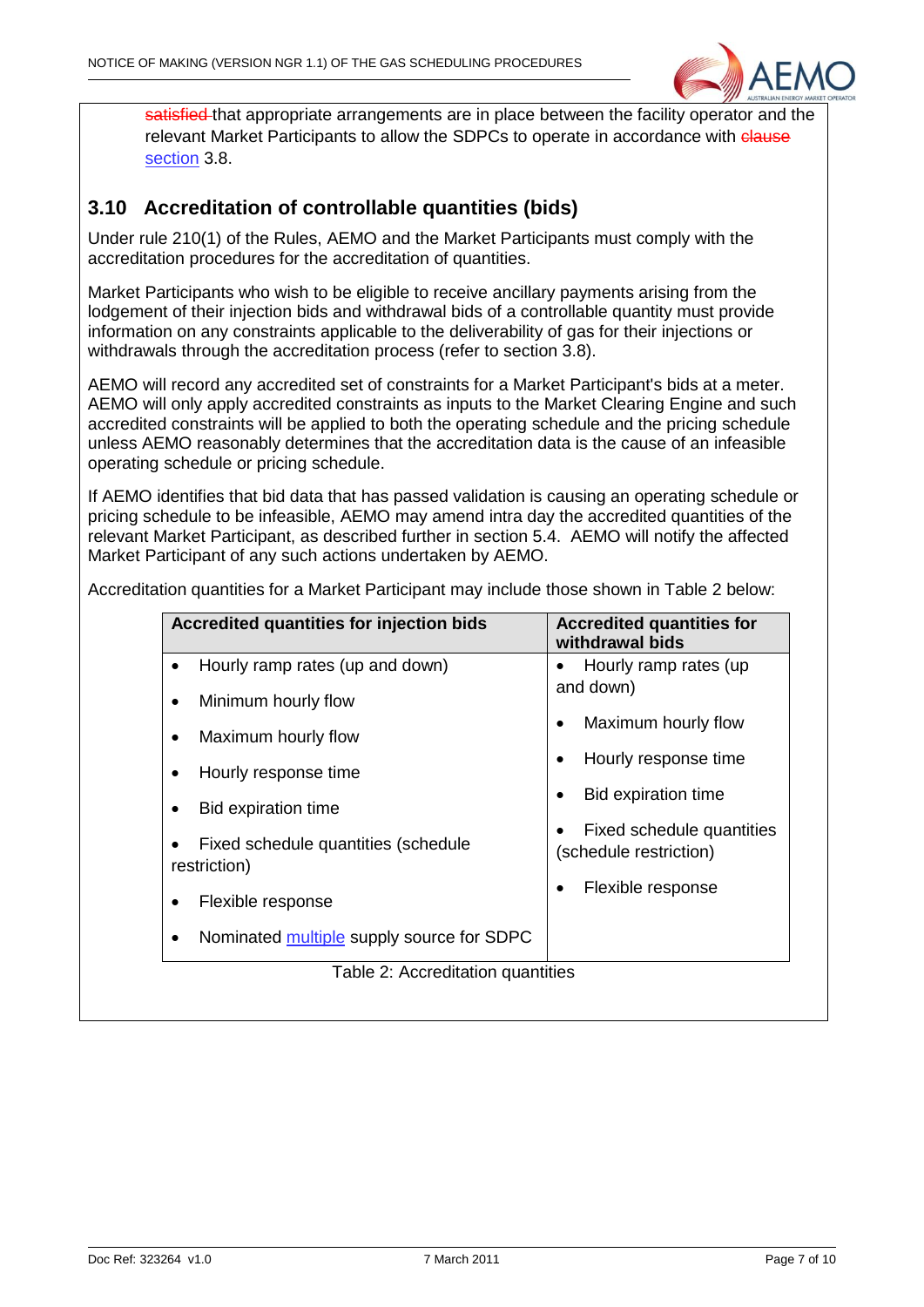

satisfied that appropriate arrangements are in place between the facility operator and the relevant Market Participants to allow the SDPCs to operate in accordance with clause section 3.8.

## **3.10 Accreditation of controllable quantities (bids)**

Under rule 210(1) of the Rules, AEMO and the Market Participants must comply with the accreditation procedures for the accreditation of quantities.

Market Participants who wish to be eligible to receive ancillary payments arising from the lodgement of their injection bids and withdrawal bids of a controllable quantity must provide information on any constraints applicable to the deliverability of gas for their injections or withdrawals through the accreditation process (refer to section 3.8).

AEMO will record any accredited set of constraints for a Market Participant's bids at a meter. AEMO will only apply accredited constraints as inputs to the Market Clearing Engine and such accredited constraints will be applied to both the operating schedule and the pricing schedule unless AEMO reasonably determines that the accreditation data is the cause of an infeasible operating schedule or pricing schedule.

If AEMO identifies that bid data that has passed validation is causing an operating schedule or pricing schedule to be infeasible, AEMO may amend intra day the accredited quantities of the relevant Market Participant, as described further in section 5.4. AEMO will notify the affected Market Participant of any such actions undertaken by AEMO.

| Accredited quantities for injection bids            | <b>Accredited quantities for</b><br>withdrawal bids |
|-----------------------------------------------------|-----------------------------------------------------|
| Hourly ramp rates (up and down)                     | Hourly ramp rates (up                               |
| Minimum hourly flow                                 | and down)                                           |
| Maximum hourly flow                                 | Maximum hourly flow                                 |
| Hourly response time                                | Hourly response time                                |
| <b>Bid expiration time</b>                          | <b>Bid expiration time</b>                          |
| Fixed schedule quantities (schedule<br>restriction) | Fixed schedule quantities<br>(schedule restriction) |
| Flexible response                                   | Flexible response                                   |
| Nominated multiple supply source for SDPC           |                                                     |
| Table 2: Accreditation quantities                   |                                                     |
|                                                     |                                                     |

Accreditation quantities for a Market Participant may include those shown in Table 2 below: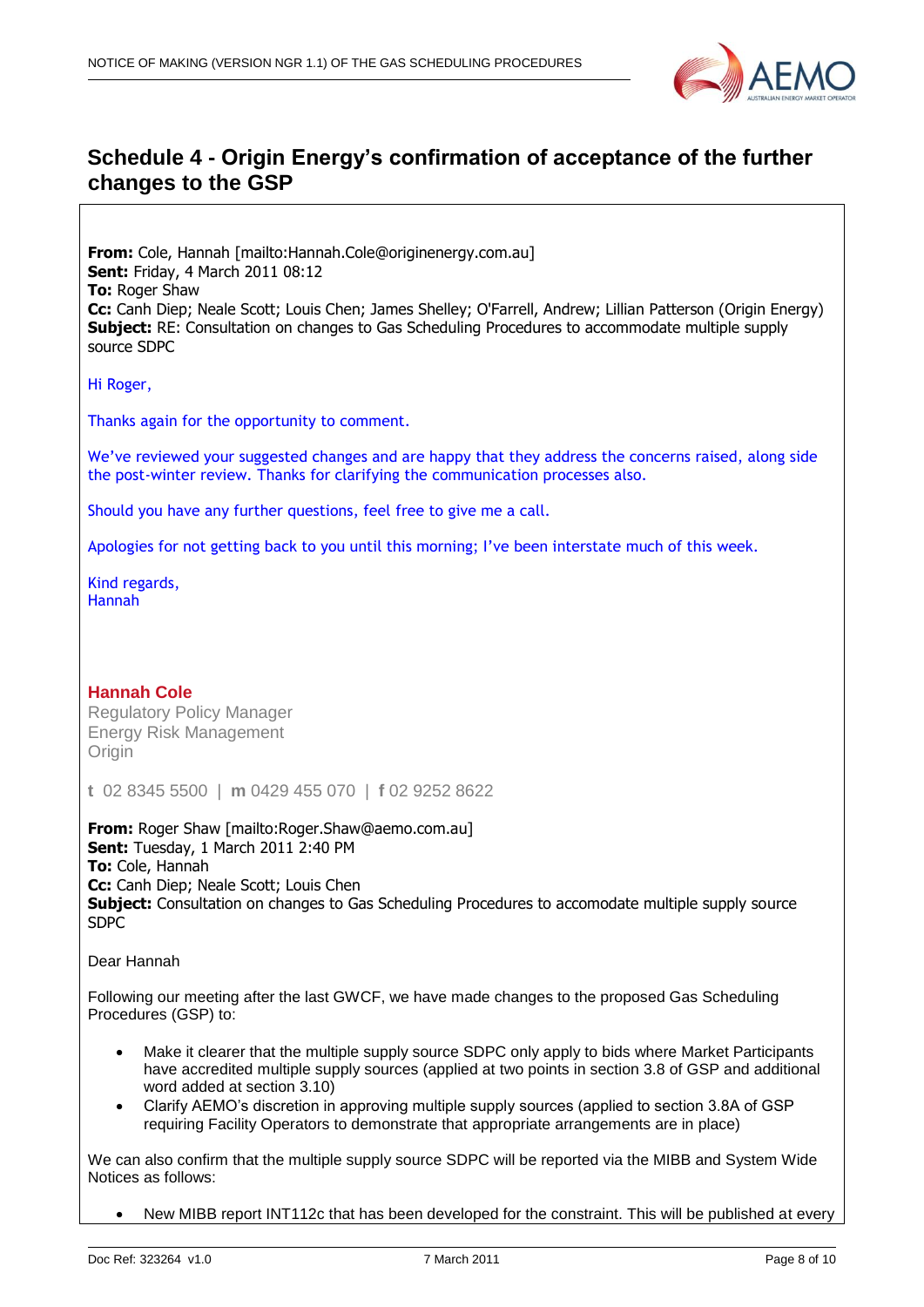

## **Schedule 4 - Origin Energy's confirmation of acceptance of the further changes to the GSP**

**From:** Cole, Hannah [mailto:Hannah.Cole@originenergy.com.au] **Sent:** Friday, 4 March 2011 08:12 **To:** Roger Shaw **Cc:** Canh Diep; Neale Scott; Louis Chen; James Shelley; O'Farrell, Andrew; Lillian Patterson (Origin Energy) **Subject:** RE: Consultation on changes to Gas Scheduling Procedures to accommodate multiple supply source SDPC

Hi Roger,

Thanks again for the opportunity to comment.

We've reviewed your suggested changes and are happy that they address the concerns raised, along side the post-winter review. Thanks for clarifying the communication processes also.

Should you have any further questions, feel free to give me a call.

Apologies for not getting back to you until this morning; I've been interstate much of this week.

Kind regards, Hannah

**Hannah Cole** Regulatory Policy Manager Energy Risk Management **Origin** 

**t** 02 8345 5500 | **m** 0429 455 070 | **f** 02 9252 8622

**From:** Roger Shaw [mailto:Roger.Shaw@aemo.com.au] **Sent:** Tuesday, 1 March 2011 2:40 PM **To:** Cole, Hannah **Cc:** Canh Diep; Neale Scott; Louis Chen **Subject:** Consultation on changes to Gas Scheduling Procedures to accomodate multiple supply source SDPC

Dear Hannah

Following our meeting after the last GWCF, we have made changes to the proposed Gas Scheduling Procedures (GSP) to:

- Make it clearer that the multiple supply source SDPC only apply to bids where Market Participants have accredited multiple supply sources (applied at two points in section 3.8 of GSP and additional word added at section 3.10)
- Clarify AEMO"s discretion in approving multiple supply sources (applied to section 3.8A of GSP requiring Facility Operators to demonstrate that appropriate arrangements are in place)

We can also confirm that the multiple supply source SDPC will be reported via the MIBB and System Wide Notices as follows:

New MIBB report INT112c that has been developed for the constraint. This will be published at every